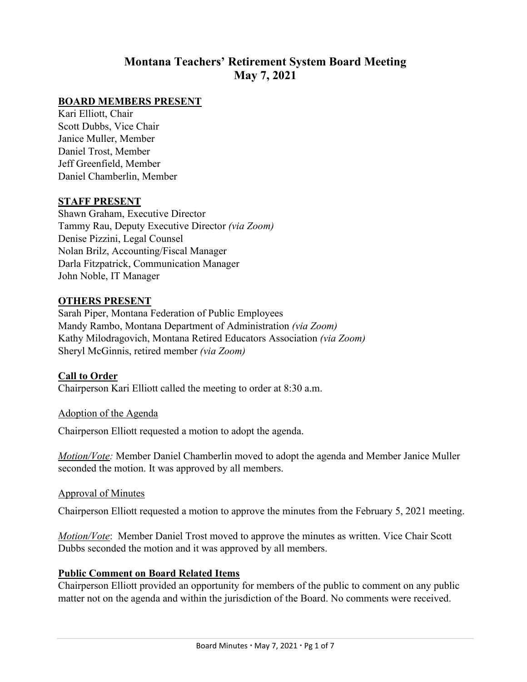# **Montana Teachers' Retirement System Board Meeting May 7, 2021**

### **BOARD MEMBERS PRESENT**

Kari Elliott, Chair Scott Dubbs, Vice Chair Janice Muller, Member Daniel Trost, Member Jeff Greenfield, Member Daniel Chamberlin, Member

#### **STAFF PRESENT**

Shawn Graham, Executive Director Tammy Rau, Deputy Executive Director *(via Zoom)* Denise Pizzini, Legal Counsel Nolan Brilz, Accounting/Fiscal Manager Darla Fitzpatrick, Communication Manager John Noble, IT Manager

#### **OTHERS PRESENT**

Sarah Piper, Montana Federation of Public Employees Mandy Rambo, Montana Department of Administration *(via Zoom)* Kathy Milodragovich, Montana Retired Educators Association *(via Zoom)* Sheryl McGinnis, retired member *(via Zoom)*

#### **Call to Order**

Chairperson Kari Elliott called the meeting to order at 8:30 a.m.

#### Adoption of the Agenda

Chairperson Elliott requested a motion to adopt the agenda.

*Motion/Vote:* Member Daniel Chamberlin moved to adopt the agenda and Member Janice Muller seconded the motion. It was approved by all members.

#### Approval of Minutes

Chairperson Elliott requested a motion to approve the minutes from the February 5, 2021 meeting.

*Motion/Vote*: Member Daniel Trost moved to approve the minutes as written. Vice Chair Scott Dubbs seconded the motion and it was approved by all members.

#### **Public Comment on Board Related Items**

Chairperson Elliott provided an opportunity for members of the public to comment on any public matter not on the agenda and within the jurisdiction of the Board. No comments were received.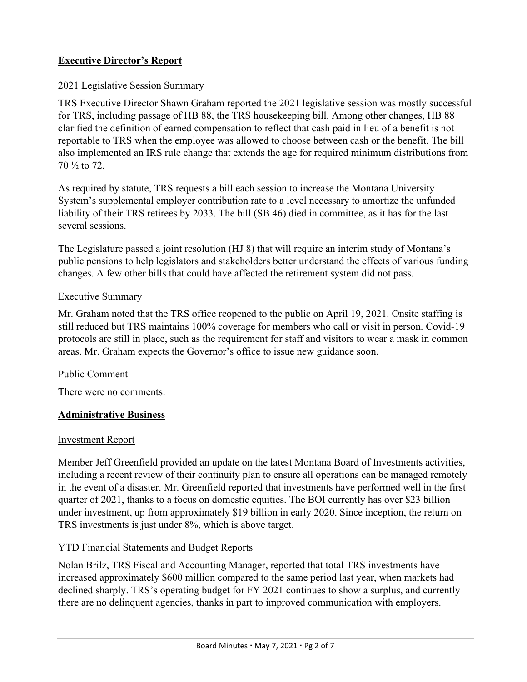# **Executive Director's Report**

## 2021 Legislative Session Summary

TRS Executive Director Shawn Graham reported the 2021 legislative session was mostly successful for TRS, including passage of HB 88, the TRS housekeeping bill. Among other changes, HB 88 clarified the definition of earned compensation to reflect that cash paid in lieu of a benefit is not reportable to TRS when the employee was allowed to choose between cash or the benefit. The bill also implemented an IRS rule change that extends the age for required minimum distributions from 70 ½ to 72.

As required by statute, TRS requests a bill each session to increase the Montana University System's supplemental employer contribution rate to a level necessary to amortize the unfunded liability of their TRS retirees by 2033. The bill (SB 46) died in committee, as it has for the last several sessions.

The Legislature passed a joint resolution (HJ 8) that will require an interim study of Montana's public pensions to help legislators and stakeholders better understand the effects of various funding changes. A few other bills that could have affected the retirement system did not pass.

## Executive Summary

Mr. Graham noted that the TRS office reopened to the public on April 19, 2021. Onsite staffing is still reduced but TRS maintains 100% coverage for members who call or visit in person. Covid-19 protocols are still in place, such as the requirement for staff and visitors to wear a mask in common areas. Mr. Graham expects the Governor's office to issue new guidance soon.

### Public Comment

There were no comments.

# **Administrative Business**

# Investment Report

Member Jeff Greenfield provided an update on the latest Montana Board of Investments activities, including a recent review of their continuity plan to ensure all operations can be managed remotely in the event of a disaster. Mr. Greenfield reported that investments have performed well in the first quarter of 2021, thanks to a focus on domestic equities. The BOI currently has over \$23 billion under investment, up from approximately \$19 billion in early 2020. Since inception, the return on TRS investments is just under 8%, which is above target.

# YTD Financial Statements and Budget Reports

Nolan Brilz, TRS Fiscal and Accounting Manager, reported that total TRS investments have increased approximately \$600 million compared to the same period last year, when markets had declined sharply. TRS's operating budget for FY 2021 continues to show a surplus, and currently there are no delinquent agencies, thanks in part to improved communication with employers.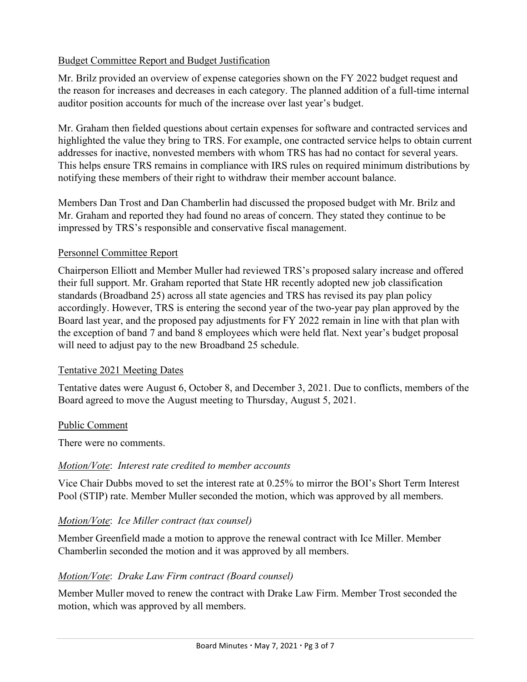## Budget Committee Report and Budget Justification

Mr. Brilz provided an overview of expense categories shown on the FY 2022 budget request and the reason for increases and decreases in each category. The planned addition of a full-time internal auditor position accounts for much of the increase over last year's budget.

Mr. Graham then fielded questions about certain expenses for software and contracted services and highlighted the value they bring to TRS. For example, one contracted service helps to obtain current addresses for inactive, nonvested members with whom TRS has had no contact for several years. This helps ensure TRS remains in compliance with IRS rules on required minimum distributions by notifying these members of their right to withdraw their member account balance.

Members Dan Trost and Dan Chamberlin had discussed the proposed budget with Mr. Brilz and Mr. Graham and reported they had found no areas of concern. They stated they continue to be impressed by TRS's responsible and conservative fiscal management.

## Personnel Committee Report

Chairperson Elliott and Member Muller had reviewed TRS's proposed salary increase and offered their full support. Mr. Graham reported that State HR recently adopted new job classification standards (Broadband 25) across all state agencies and TRS has revised its pay plan policy accordingly. However, TRS is entering the second year of the two-year pay plan approved by the Board last year, and the proposed pay adjustments for FY 2022 remain in line with that plan with the exception of band 7 and band 8 employees which were held flat. Next year's budget proposal will need to adjust pay to the new Broadband 25 schedule.

### Tentative 2021 Meeting Dates

Tentative dates were August 6, October 8, and December 3, 2021. Due to conflicts, members of the Board agreed to move the August meeting to Thursday, August 5, 2021.

### Public Comment

There were no comments.

# *Motion/Vote*: *Interest rate credited to member accounts*

Vice Chair Dubbs moved to set the interest rate at 0.25% to mirror the BOI's Short Term Interest Pool (STIP) rate. Member Muller seconded the motion, which was approved by all members.

# *Motion/Vote*: *Ice Miller contract (tax counsel)*

Member Greenfield made a motion to approve the renewal contract with Ice Miller. Member Chamberlin seconded the motion and it was approved by all members.

# *Motion/Vote*: *Drake Law Firm contract (Board counsel)*

Member Muller moved to renew the contract with Drake Law Firm. Member Trost seconded the motion, which was approved by all members.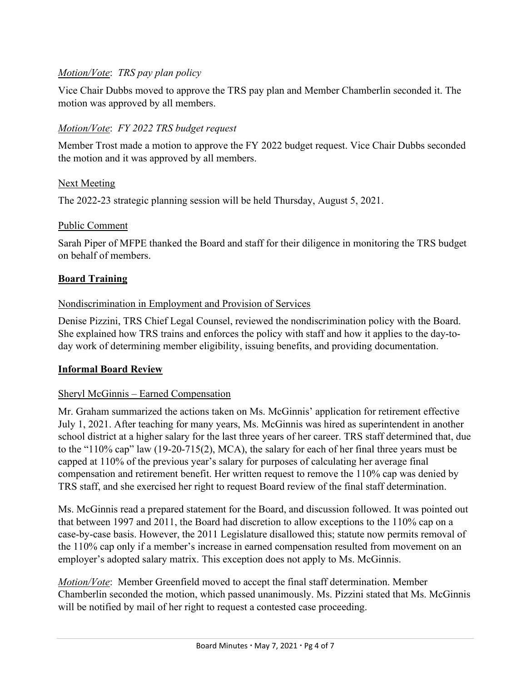# *Motion/Vote*: *TRS pay plan policy*

Vice Chair Dubbs moved to approve the TRS pay plan and Member Chamberlin seconded it. The motion was approved by all members.

# *Motion/Vote*: *FY 2022 TRS budget request*

Member Trost made a motion to approve the FY 2022 budget request. Vice Chair Dubbs seconded the motion and it was approved by all members.

# Next Meeting

The 2022-23 strategic planning session will be held Thursday, August 5, 2021.

## Public Comment

Sarah Piper of MFPE thanked the Board and staff for their diligence in monitoring the TRS budget on behalf of members.

# **Board Training**

## Nondiscrimination in Employment and Provision of Services

Denise Pizzini, TRS Chief Legal Counsel, reviewed the nondiscrimination policy with the Board. She explained how TRS trains and enforces the policy with staff and how it applies to the day-today work of determining member eligibility, issuing benefits, and providing documentation.

# **Informal Board Review**

# Sheryl McGinnis – Earned Compensation

Mr. Graham summarized the actions taken on Ms. McGinnis' application for retirement effective July 1, 2021. After teaching for many years, Ms. McGinnis was hired as superintendent in another school district at a higher salary for the last three years of her career. TRS staff determined that, due to the "110% cap" law (19-20-715(2), MCA), the salary for each of her final three years must be capped at 110% of the previous year's salary for purposes of calculating her average final compensation and retirement benefit. Her written request to remove the 110% cap was denied by TRS staff, and she exercised her right to request Board review of the final staff determination.

Ms. McGinnis read a prepared statement for the Board, and discussion followed. It was pointed out that between 1997 and 2011, the Board had discretion to allow exceptions to the 110% cap on a case-by-case basis. However, the 2011 Legislature disallowed this; statute now permits removal of the 110% cap only if a member's increase in earned compensation resulted from movement on an employer's adopted salary matrix. This exception does not apply to Ms. McGinnis.

*Motion/Vote*: Member Greenfield moved to accept the final staff determination. Member Chamberlin seconded the motion, which passed unanimously. Ms. Pizzini stated that Ms. McGinnis will be notified by mail of her right to request a contested case proceeding.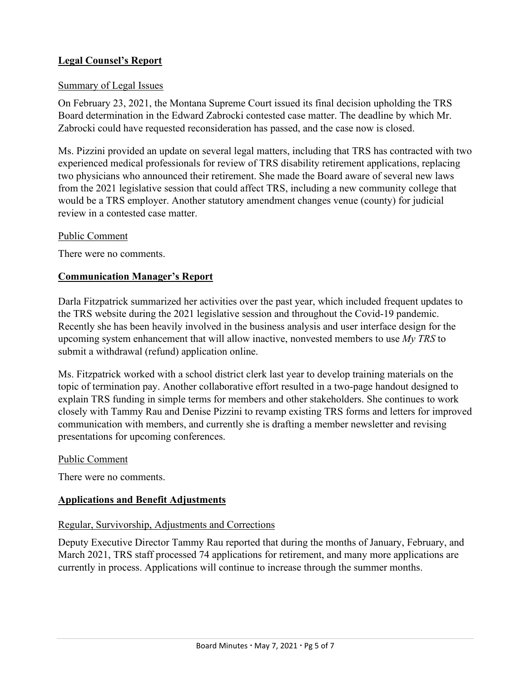## **Legal Counsel's Report**

#### Summary of Legal Issues

On February 23, 2021, the Montana Supreme Court issued its final decision upholding the TRS Board determination in the Edward Zabrocki contested case matter. The deadline by which Mr. Zabrocki could have requested reconsideration has passed, and the case now is closed.

Ms. Pizzini provided an update on several legal matters, including that TRS has contracted with two experienced medical professionals for review of TRS disability retirement applications, replacing two physicians who announced their retirement. She made the Board aware of several new laws from the 2021 legislative session that could affect TRS, including a new community college that would be a TRS employer. Another statutory amendment changes venue (county) for judicial review in a contested case matter.

#### Public Comment

There were no comments.

#### **Communication Manager's Report**

Darla Fitzpatrick summarized her activities over the past year, which included frequent updates to the TRS website during the 2021 legislative session and throughout the Covid-19 pandemic. Recently she has been heavily involved in the business analysis and user interface design for the upcoming system enhancement that will allow inactive, nonvested members to use *My TRS* to submit a withdrawal (refund) application online.

Ms. Fitzpatrick worked with a school district clerk last year to develop training materials on the topic of termination pay. Another collaborative effort resulted in a two-page handout designed to explain TRS funding in simple terms for members and other stakeholders. She continues to work closely with Tammy Rau and Denise Pizzini to revamp existing TRS forms and letters for improved communication with members, and currently she is drafting a member newsletter and revising presentations for upcoming conferences.

#### Public Comment

There were no comments.

### **Applications and Benefit Adjustments**

#### Regular, Survivorship, Adjustments and Corrections

Deputy Executive Director Tammy Rau reported that during the months of January, February, and March 2021, TRS staff processed 74 applications for retirement, and many more applications are currently in process. Applications will continue to increase through the summer months.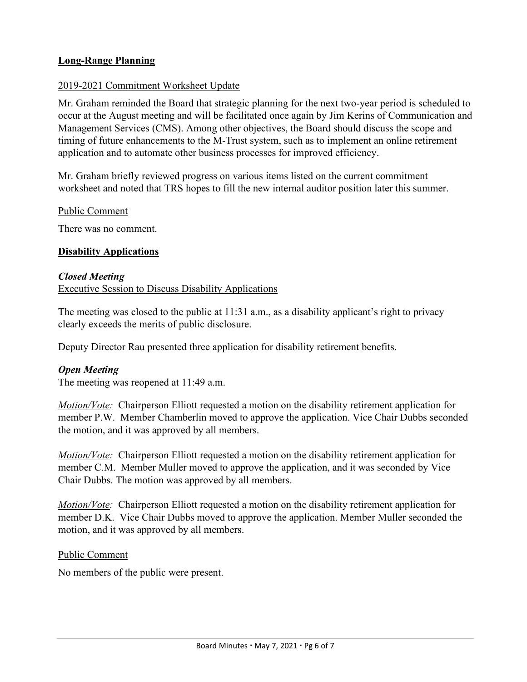## **Long-Range Planning**

### 2019-2021 Commitment Worksheet Update

Mr. Graham reminded the Board that strategic planning for the next two-year period is scheduled to occur at the August meeting and will be facilitated once again by Jim Kerins of Communication and Management Services (CMS). Among other objectives, the Board should discuss the scope and timing of future enhancements to the M-Trust system, such as to implement an online retirement application and to automate other business processes for improved efficiency.

Mr. Graham briefly reviewed progress on various items listed on the current commitment worksheet and noted that TRS hopes to fill the new internal auditor position later this summer.

### Public Comment

There was no comment.

#### **Disability Applications**

#### *Closed Meeting*

Executive Session to Discuss Disability Applications

The meeting was closed to the public at 11:31 a.m., as a disability applicant's right to privacy clearly exceeds the merits of public disclosure.

Deputy Director Rau presented three application for disability retirement benefits.

### *Open Meeting*

The meeting was reopened at 11:49 a.m.

*Motion/Vote:* Chairperson Elliott requested a motion on the disability retirement application for member P.W. Member Chamberlin moved to approve the application. Vice Chair Dubbs seconded the motion, and it was approved by all members.

*Motion/Vote:* Chairperson Elliott requested a motion on the disability retirement application for member C.M. Member Muller moved to approve the application, and it was seconded by Vice Chair Dubbs. The motion was approved by all members.

*Motion/Vote:* Chairperson Elliott requested a motion on the disability retirement application for member D.K. Vice Chair Dubbs moved to approve the application. Member Muller seconded the motion, and it was approved by all members.

### Public Comment

No members of the public were present.